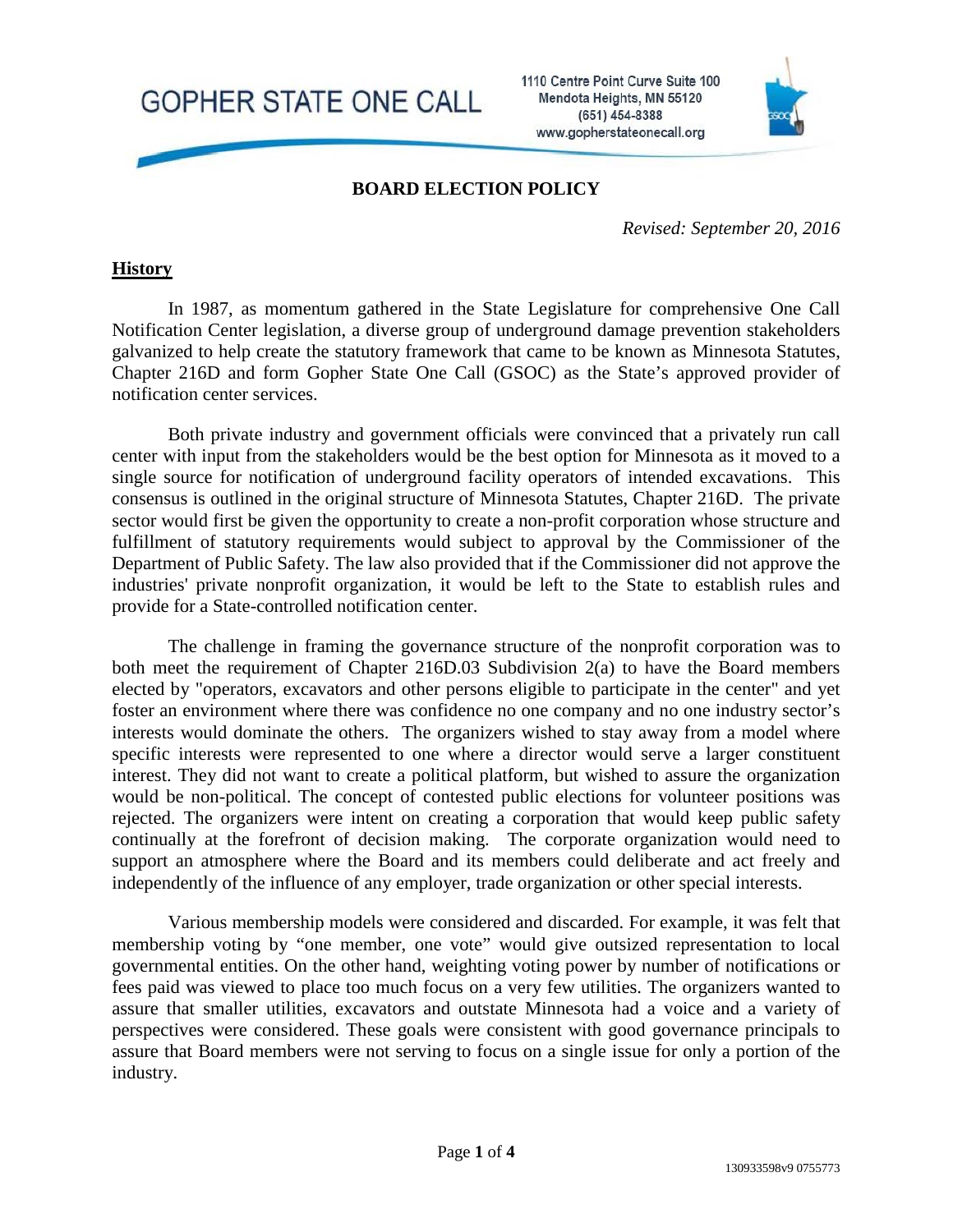GOPHER STATE ONE CALL

1110 Centre Point Curve Suite 100 Mendota Heights, MN 55120 (651) 454-8388 www.gopherstateonecall.org



#### **BOARD ELECTION POLICY**

*Revised: September 20, 2016*

#### **History**

In 1987, as momentum gathered in the State Legislature for comprehensive One Call Notification Center legislation, a diverse group of underground damage prevention stakeholders galvanized to help create the statutory framework that came to be known as Minnesota Statutes, Chapter 216D and form Gopher State One Call (GSOC) as the State's approved provider of notification center services.

Both private industry and government officials were convinced that a privately run call center with input from the stakeholders would be the best option for Minnesota as it moved to a single source for notification of underground facility operators of intended excavations. This consensus is outlined in the original structure of Minnesota Statutes, Chapter 216D. The private sector would first be given the opportunity to create a non-profit corporation whose structure and fulfillment of statutory requirements would subject to approval by the Commissioner of the Department of Public Safety. The law also provided that if the Commissioner did not approve the industries' private nonprofit organization, it would be left to the State to establish rules and provide for a State-controlled notification center.

The challenge in framing the governance structure of the nonprofit corporation was to both meet the requirement of Chapter 216D.03 Subdivision 2(a) to have the Board members elected by "operators, excavators and other persons eligible to participate in the center" and yet foster an environment where there was confidence no one company and no one industry sector's interests would dominate the others. The organizers wished to stay away from a model where specific interests were represented to one where a director would serve a larger constituent interest. They did not want to create a political platform, but wished to assure the organization would be non-political. The concept of contested public elections for volunteer positions was rejected. The organizers were intent on creating a corporation that would keep public safety continually at the forefront of decision making. The corporate organization would need to support an atmosphere where the Board and its members could deliberate and act freely and independently of the influence of any employer, trade organization or other special interests.

Various membership models were considered and discarded. For example, it was felt that membership voting by "one member, one vote" would give outsized representation to local governmental entities. On the other hand, weighting voting power by number of notifications or fees paid was viewed to place too much focus on a very few utilities. The organizers wanted to assure that smaller utilities, excavators and outstate Minnesota had a voice and a variety of perspectives were considered. These goals were consistent with good governance principals to assure that Board members were not serving to focus on a single issue for only a portion of the industry.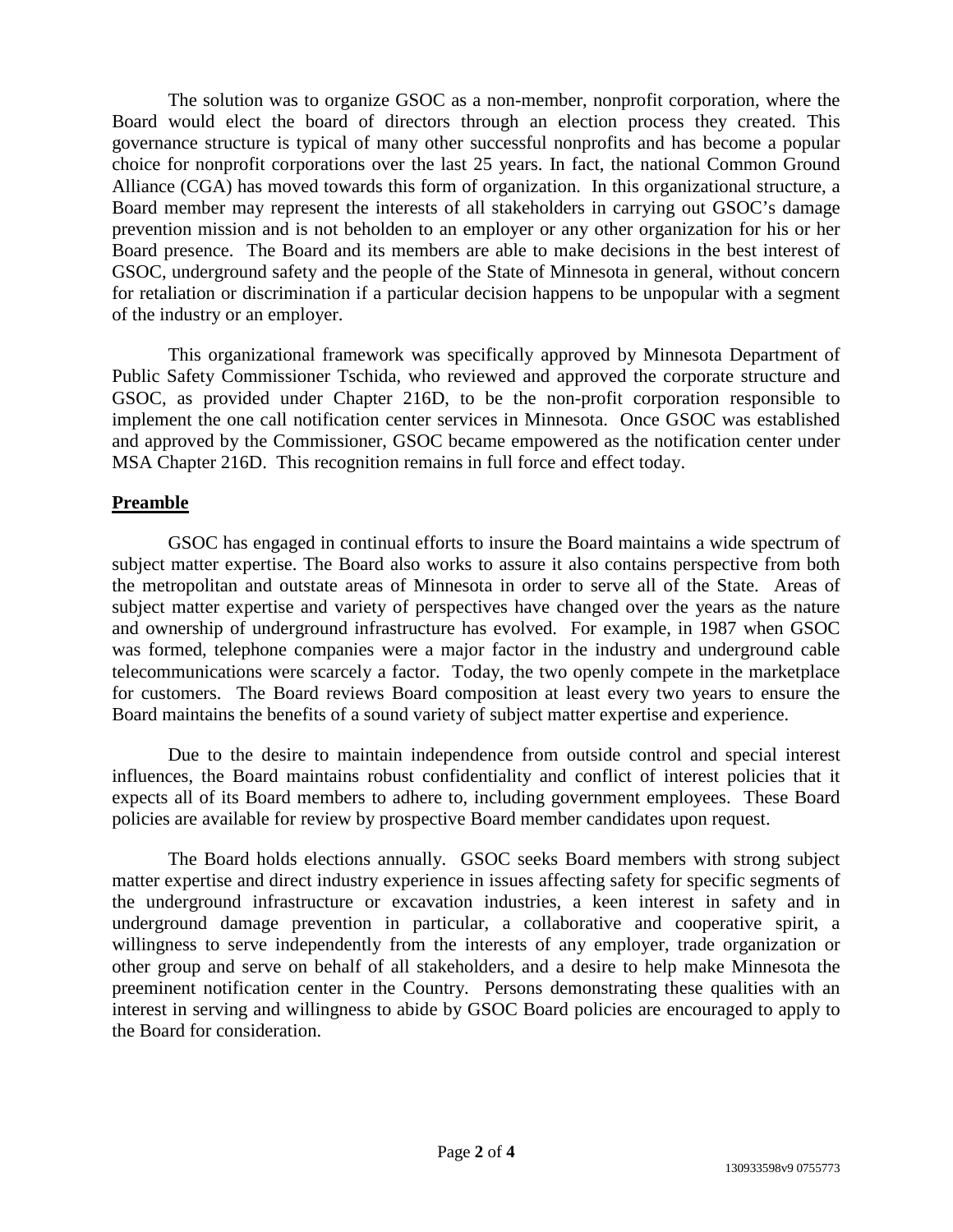The solution was to organize GSOC as a non-member, nonprofit corporation, where the Board would elect the board of directors through an election process they created. This governance structure is typical of many other successful nonprofits and has become a popular choice for nonprofit corporations over the last 25 years. In fact, the national Common Ground Alliance (CGA) has moved towards this form of organization. In this organizational structure, a Board member may represent the interests of all stakeholders in carrying out GSOC's damage prevention mission and is not beholden to an employer or any other organization for his or her Board presence. The Board and its members are able to make decisions in the best interest of GSOC, underground safety and the people of the State of Minnesota in general, without concern for retaliation or discrimination if a particular decision happens to be unpopular with a segment of the industry or an employer.

This organizational framework was specifically approved by Minnesota Department of Public Safety Commissioner Tschida, who reviewed and approved the corporate structure and GSOC, as provided under Chapter 216D, to be the non-profit corporation responsible to implement the one call notification center services in Minnesota. Once GSOC was established and approved by the Commissioner, GSOC became empowered as the notification center under MSA Chapter 216D. This recognition remains in full force and effect today.

# **Preamble**

GSOC has engaged in continual efforts to insure the Board maintains a wide spectrum of subject matter expertise. The Board also works to assure it also contains perspective from both the metropolitan and outstate areas of Minnesota in order to serve all of the State. Areas of subject matter expertise and variety of perspectives have changed over the years as the nature and ownership of underground infrastructure has evolved. For example, in 1987 when GSOC was formed, telephone companies were a major factor in the industry and underground cable telecommunications were scarcely a factor. Today, the two openly compete in the marketplace for customers. The Board reviews Board composition at least every two years to ensure the Board maintains the benefits of a sound variety of subject matter expertise and experience.

Due to the desire to maintain independence from outside control and special interest influences, the Board maintains robust confidentiality and conflict of interest policies that it expects all of its Board members to adhere to, including government employees. These Board policies are available for review by prospective Board member candidates upon request.

The Board holds elections annually. GSOC seeks Board members with strong subject matter expertise and direct industry experience in issues affecting safety for specific segments of the underground infrastructure or excavation industries, a keen interest in safety and in underground damage prevention in particular, a collaborative and cooperative spirit, a willingness to serve independently from the interests of any employer, trade organization or other group and serve on behalf of all stakeholders, and a desire to help make Minnesota the preeminent notification center in the Country. Persons demonstrating these qualities with an interest in serving and willingness to abide by GSOC Board policies are encouraged to apply to the Board for consideration.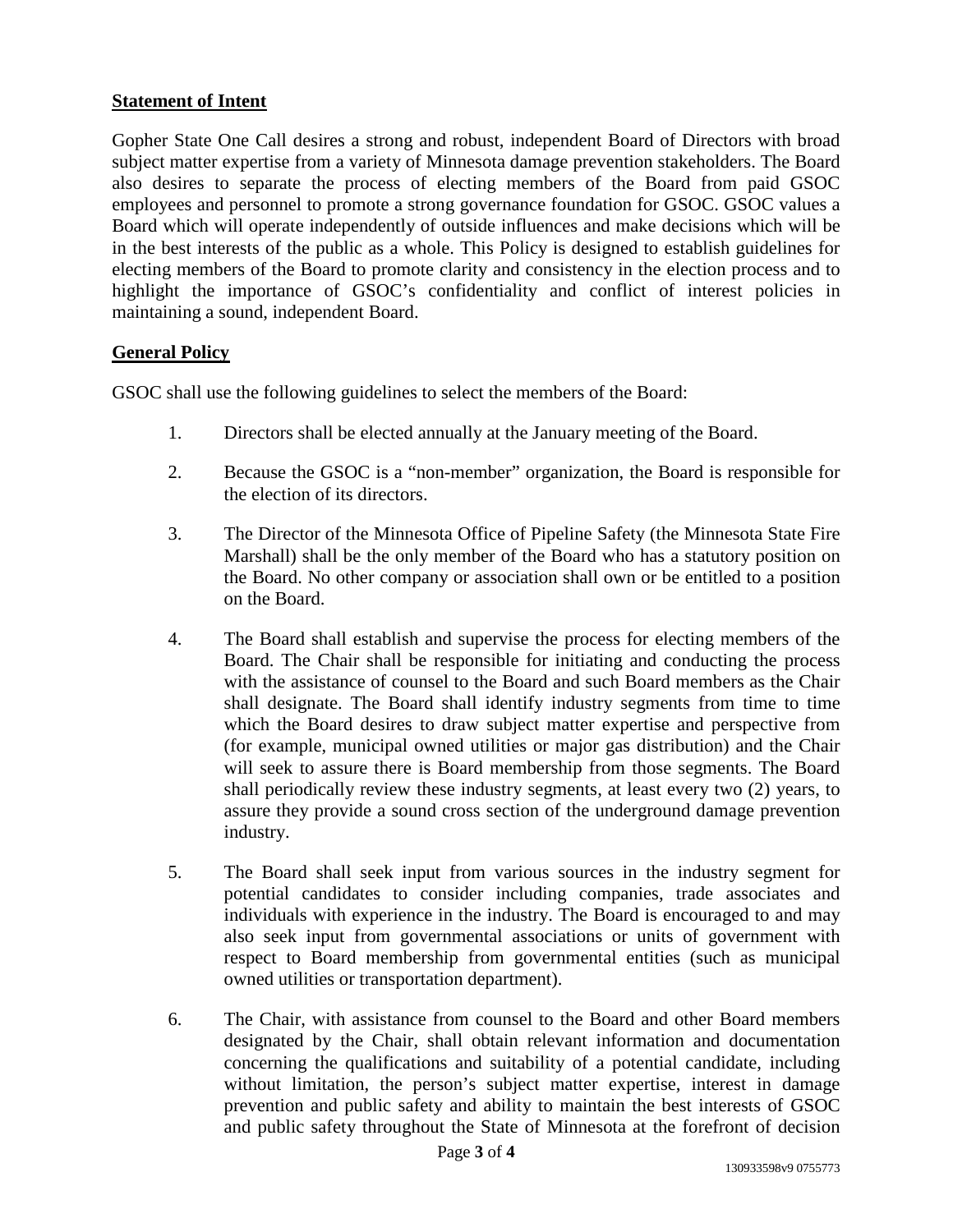# **Statement of Intent**

Gopher State One Call desires a strong and robust, independent Board of Directors with broad subject matter expertise from a variety of Minnesota damage prevention stakeholders. The Board also desires to separate the process of electing members of the Board from paid GSOC employees and personnel to promote a strong governance foundation for GSOC. GSOC values a Board which will operate independently of outside influences and make decisions which will be in the best interests of the public as a whole. This Policy is designed to establish guidelines for electing members of the Board to promote clarity and consistency in the election process and to highlight the importance of GSOC's confidentiality and conflict of interest policies in maintaining a sound, independent Board.

# **General Policy**

GSOC shall use the following guidelines to select the members of the Board:

- 1. Directors shall be elected annually at the January meeting of the Board.
- 2. Because the GSOC is a "non-member" organization, the Board is responsible for the election of its directors.
- 3. The Director of the Minnesota Office of Pipeline Safety (the Minnesota State Fire Marshall) shall be the only member of the Board who has a statutory position on the Board. No other company or association shall own or be entitled to a position on the Board.
- 4. The Board shall establish and supervise the process for electing members of the Board. The Chair shall be responsible for initiating and conducting the process with the assistance of counsel to the Board and such Board members as the Chair shall designate. The Board shall identify industry segments from time to time which the Board desires to draw subject matter expertise and perspective from (for example, municipal owned utilities or major gas distribution) and the Chair will seek to assure there is Board membership from those segments. The Board shall periodically review these industry segments, at least every two (2) years, to assure they provide a sound cross section of the underground damage prevention industry.
- 5. The Board shall seek input from various sources in the industry segment for potential candidates to consider including companies, trade associates and individuals with experience in the industry. The Board is encouraged to and may also seek input from governmental associations or units of government with respect to Board membership from governmental entities (such as municipal owned utilities or transportation department).
- 6. The Chair, with assistance from counsel to the Board and other Board members designated by the Chair, shall obtain relevant information and documentation concerning the qualifications and suitability of a potential candidate, including without limitation, the person's subject matter expertise, interest in damage prevention and public safety and ability to maintain the best interests of GSOC and public safety throughout the State of Minnesota at the forefront of decision